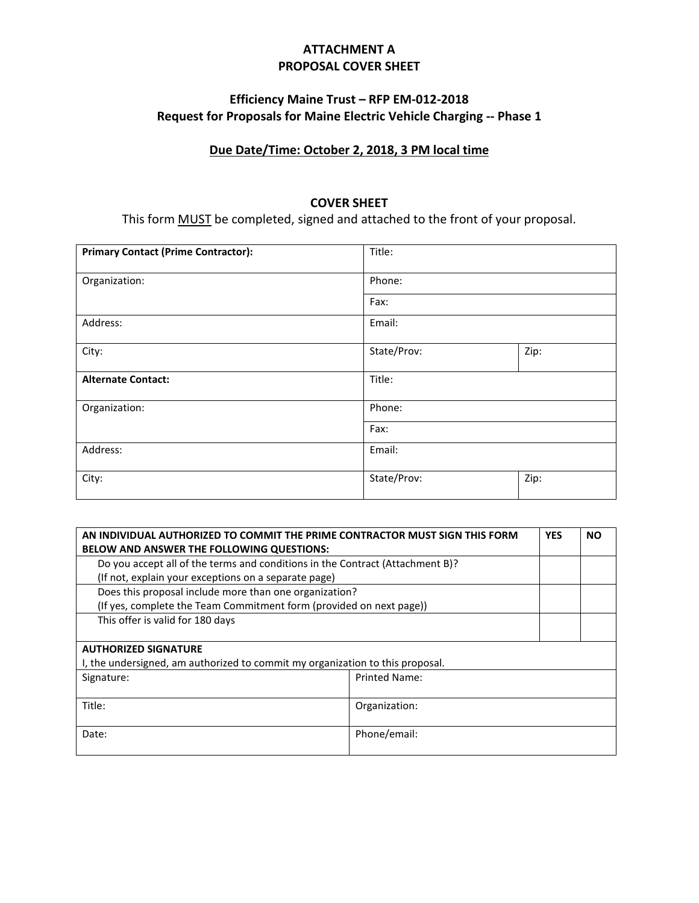# **ATTACHMENT A PROPOSAL COVER SHEET**

# **Efficiency Maine Trust – RFP EM-012-2018 Request for Proposals for Maine Electric Vehicle Charging -- Phase 1**

### **Due Date/Time: October 2, 2018, 3 PM local time**

#### **COVER SHEET**

This form MUST be completed, signed and attached to the front of your proposal.

| <b>Primary Contact (Prime Contractor):</b> | Title:      |      |
|--------------------------------------------|-------------|------|
| Organization:                              | Phone:      |      |
|                                            | Fax:        |      |
| Address:                                   | Email:      |      |
| City:                                      | State/Prov: | Zip: |
| <b>Alternate Contact:</b>                  | Title:      |      |
| Organization:                              | Phone:      |      |
|                                            | Fax:        |      |
| Address:                                   | Email:      |      |
| City:                                      | State/Prov: | Zip: |

| AN INDIVIDUAL AUTHORIZED TO COMMIT THE PRIME CONTRACTOR MUST SIGN THIS FORM   |                      | <b>YES</b> | <b>NO</b> |
|-------------------------------------------------------------------------------|----------------------|------------|-----------|
| BELOW AND ANSWER THE FOLLOWING QUESTIONS:                                     |                      |            |           |
| Do you accept all of the terms and conditions in the Contract (Attachment B)? |                      |            |           |
| (If not, explain your exceptions on a separate page)                          |                      |            |           |
| Does this proposal include more than one organization?                        |                      |            |           |
| (If yes, complete the Team Commitment form (provided on next page))           |                      |            |           |
| This offer is valid for 180 days                                              |                      |            |           |
|                                                                               |                      |            |           |
| <b>AUTHORIZED SIGNATURE</b>                                                   |                      |            |           |
| I, the undersigned, am authorized to commit my organization to this proposal. |                      |            |           |
| Signature:                                                                    | <b>Printed Name:</b> |            |           |
|                                                                               |                      |            |           |
| Title:                                                                        | Organization:        |            |           |
|                                                                               |                      |            |           |
| Date:                                                                         | Phone/email:         |            |           |
|                                                                               |                      |            |           |